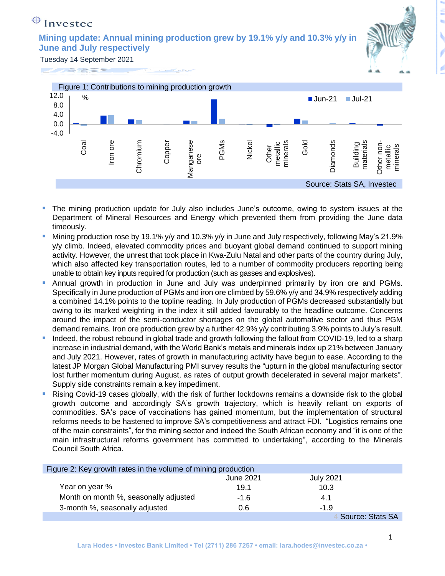## $\bigoplus$  Investec

**Mining update: Annual mining production grew by 19.1% y/y and 10.3% y/y in June and July respectively** 



Tuesday 14 September 2021





- **.** The mining production update for July also includes June's outcome, owing to system issues at the Department of Mineral Resources and Energy which prevented them from providing the June data timeously.
- Mining production rose by 19.1% y/y and 10.3% y/y in June and July respectively, following May's 21.9% y/y climb. Indeed, elevated commodity prices and buoyant global demand continued to support mining activity. However, the unrest that took place in Kwa-Zulu Natal and other parts of the country during July, which also affected key transportation routes, led to a number of commodity producers reporting being unable to obtain key inputs required for production (such as gasses and explosives).
- Annual growth in production in June and July was underpinned primarily by iron ore and PGMs. Specifically in June production of PGMs and iron ore climbed by 59.6% y/y and 34.9% respectively adding a combined 14.1% points to the topline reading. In July production of PGMs decreased substantially but owing to its marked weighting in the index it still added favourably to the headline outcome. Concerns around the impact of the semi-conductor shortages on the global automative sector and thus PGM demand remains. Iron ore production grew by a further 42.9% y/y contributing 3.9% points to July's result.
- Indeed, the robust rebound in global trade and growth following the fallout from COVID-19, led to a sharp increase in industrial demand, with the World Bank's metals and minerals index up 21% between January and July 2021. However, rates of growth in manufacturing activity have begun to ease. According to the latest JP Morgan Global Manufacturing PMI survey results the "upturn in the global manufacturing sector lost further momentum during August, as rates of output growth decelerated in several major markets". Supply side constraints remain a key impediment.
- Rising Covid-19 cases globally, with the risk of further lockdowns remains a downside risk to the global growth outcome and accordingly SA's growth trajectory, which is heavily reliant on exports of commodities. SA's pace of vaccinations has gained momentum, but the implementation of structural reforms needs to be hastened to improve SA's competitiveness and attract FDI. "Logistics remains one of the main constraints", for the mining sector and indeed the South African economy and "it is one of the main infrastructural reforms government has committed to undertaking", according to the Minerals Council South Africa.

| Figure 2: Key growth rates in the volume of mining production |           |                  |
|---------------------------------------------------------------|-----------|------------------|
|                                                               | June 2021 | <b>July 2021</b> |
| Year on year %                                                | 19.1      | 10.3             |
| Month on month %, seasonally adjusted                         | $-1.6$    | 4.1              |
| 3-month %, seasonally adjusted                                | 0.6       | $-1.9$           |
|                                                               |           | Source: Stats SA |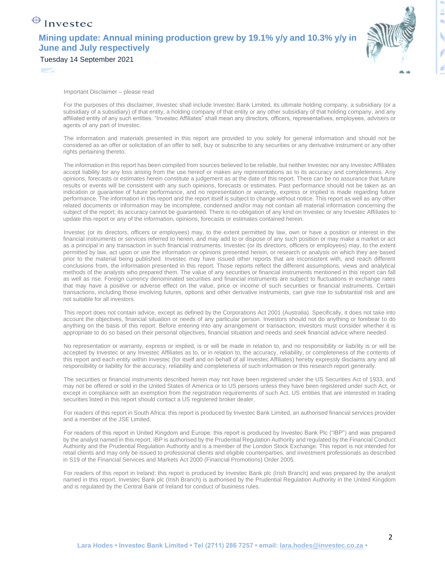## $\bigoplus$  Investec

Z

## **Mining update: Annual mining production grew by 19.1% y/y and 10.3% y/y in June and July respectively**



Tuesday 14 September 2021

Important Disclaimer – please read

For the purposes of this disclaimer, Investec shall include Investec Bank Limited, its ultimate holding company, a subsidiary (or a subsidiary of a subsidiary) of that entity, a holding company of that entity or any other subsidiary of that holding company, and any affiliated entity of any such entities. "Investec Affiliates" shall mean any directors, officers, representatives, employees, advisers or agents of any part of Investec.

The information and materials presented in this report are provided to you solely for general information and should not be considered as an offer or solicitation of an offer to sell, buy or subscribe to any securities or any derivative instrument or any other rights pertaining thereto.

The information in this report has been compiled from sources believed to be reliable, but neither Investec nor any Investec Affiliates accept liability for any loss arising from the use hereof or makes any representations as to its accuracy and completeness. Any opinions, forecasts or estimates herein constitute a judgement as at the date of this report. There can be no assurance that future results or events will be consistent with any such opinions, forecasts or estimates. Past performance should not be taken as an indication or guarantee of future performance, and no representation or warranty, express or implied is made regarding future performance. The information in this report and the report itself is subject to change without notice. This report as well as any other related documents or information may be incomplete, condensed and/or may not contain all material information concerning the subject of the report; its accuracy cannot be guaranteed. There is no obligation of any kind on Investec or any Investec Affiliates to update this report or any of the information, opinions, forecasts or estimates contained herein.

Investec (or its directors, officers or employees) may, to the extent permitted by law, own or have a position or interest in the financial instruments or services referred to herein, and may add to or dispose of any such position or may make a market or act as a principal in any transaction in such financial instruments. Investec (or its directors, officers or employees) may, to the extent permitted by law, act upon or use the information or opinions presented herein, or research or analysis on which they are based prior to the material being published. Investec may have issued other reports that are inconsistent with, and reach different conclusions from, the information presented in this report. Those reports reflect the different assumptions, views and analytical methods of the analysts who prepared them. The value of any securities or financial instruments mentioned in this report can fall as well as rise. Foreign currency denominated securities and financial instruments are subject to fluctuations in exchange rates that may have a positive or adverse effect on the value, price or income of such securities or financial instruments. Certain transactions, including those involving futures, options and other derivative instruments, can give rise to substantial risk and are not suitable for all investors.

This report does not contain advice, except as defined by the Corporations Act 2001 (Australia). Specifically, it does not take into account the objectives, financial situation or needs of any particular person. Investors should not do anything or forebear to do anything on the basis of this report. Before entering into any arrangement or transaction, investors must consider whether it is appropriate to do so based on their personal objectives, financial situation and needs and seek financial advice where needed.

No representation or warranty, express or implied, is or will be made in relation to, and no responsibility or liability is or will be accepted by Investec or any Investec Affiliates as to, or in relation to, the accuracy, reliability, or completeness of the contents of this report and each entity within Investec (for itself and on behalf of all Investec Affiliates) hereby expressly disclaims any and all responsibility or liability for the accuracy, reliability and completeness of such information or this research report generally.

The securities or financial instruments described herein may not have been registered under the US Securities Act of 1933, and may not be offered or sold in the United States of America or to US persons unless they have been registered under such Act, or except in compliance with an exemption from the registration requirements of such Act. US entities that are interested in trading securities listed in this report should contact a US registered broker dealer.

For readers of this report in South Africa: this report is produced by Investec Bank Limited, an authorised financial services provider and a member of the JSE Limited.

For readers of this report in United Kingdom and Europe: this report is produced by Investec Bank Plc ("IBP") and was prepared by the analyst named in this report. IBP is authorised by the Prudential Regulation Authority and regulated by the Financial Conduct Authority and the Prudential Regulation Authority and is a member of the London Stock Exchange. This report is not intended for retail clients and may only be issued to professional clients and eligible counterparties, and investment professionals as described in S19 of the Financial Services and Markets Act 2000 (Financial Promotions) Order 2005.

For readers of this report in Ireland: this report is produced by Investec Bank plc (Irish Branch) and was prepared by the analyst named in this report. Investec Bank plc (Irish Branch) is authorised by the Prudential Regulation Authority in the United Kingdom and is regulated by the Central Bank of Ireland for conduct of business rules.